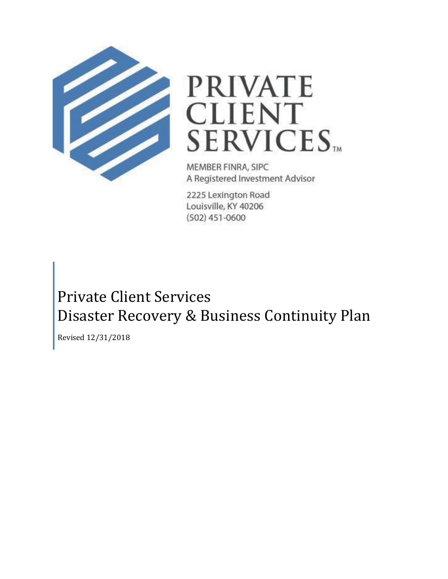



MEMBER FINRA, SIPC A Registered Investment Advisor

2225 Lexington Road Louisville, KY 40206  $(502)$  451-0600

# Private Client Services Disaster Recovery & Business Continuity Plan

Revised 12/31/2018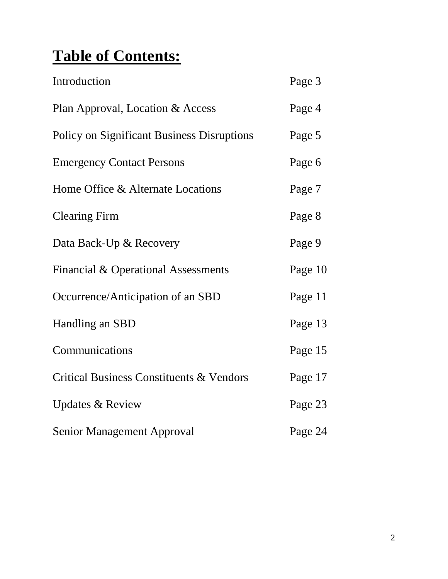# **Table of Contents:**

| Introduction                                      | Page 3  |
|---------------------------------------------------|---------|
| Plan Approval, Location & Access                  | Page 4  |
| <b>Policy on Significant Business Disruptions</b> | Page 5  |
| <b>Emergency Contact Persons</b>                  | Page 6  |
| Home Office & Alternate Locations                 | Page 7  |
| <b>Clearing Firm</b>                              | Page 8  |
| Data Back-Up & Recovery                           | Page 9  |
| Financial & Operational Assessments               | Page 10 |
| Occurrence/Anticipation of an SBD                 | Page 11 |
| Handling an SBD                                   | Page 13 |
| Communications                                    | Page 15 |
| Critical Business Constituents & Vendors          | Page 17 |
| <b>Updates &amp; Review</b>                       | Page 23 |
| <b>Senior Management Approval</b>                 | Page 24 |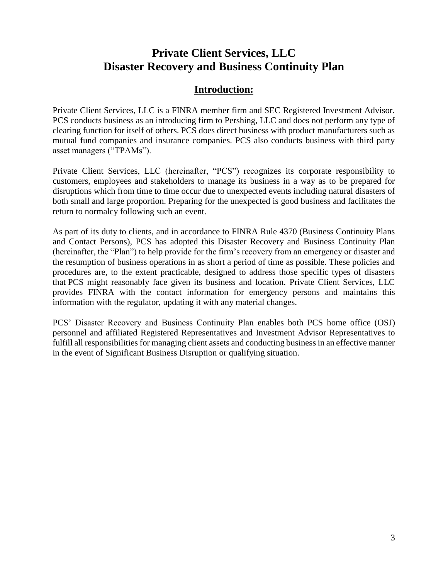## **Private Client Services, LLC Disaster Recovery and Business Continuity Plan**

### **Introduction:**

Private Client Services, LLC is a FINRA member firm and SEC Registered Investment Advisor. PCS conducts business as an introducing firm to Pershing, LLC and does not perform any type of clearing function for itself of others. PCS does direct business with product manufacturers such as mutual fund companies and insurance companies. PCS also conducts business with third party asset managers ("TPAMs").

Private Client Services, LLC (hereinafter, "PCS") recognizes its corporate responsibility to customers, employees and stakeholders to manage its business in a way as to be prepared for disruptions which from time to time occur due to unexpected events including natural disasters of both small and large proportion. Preparing for the unexpected is good business and facilitates the return to normalcy following such an event.

As part of its duty to clients, and in accordance to FINRA Rule 4370 (Business Continuity Plans and Contact Persons), PCS has adopted this Disaster Recovery and Business Continuity Plan (hereinafter, the "Plan") to help provide for the firm's recovery from an emergency or disaster and the resumption of business operations in as short a period of time as possible. These policies and procedures are, to the extent practicable, designed to address those specific types of disasters that PCS might reasonably face given its business and location. Private Client Services, LLC provides FINRA with the contact information for emergency persons and maintains this information with the regulator, updating it with any material changes.

PCS' Disaster Recovery and Business Continuity Plan enables both PCS home office (OSJ) personnel and affiliated Registered Representatives and Investment Advisor Representatives to fulfill all responsibilities for managing client assets and conducting business in an effective manner in the event of Significant Business Disruption or qualifying situation.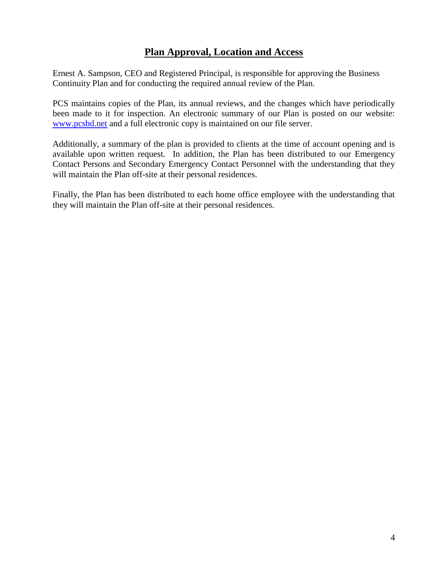### **Plan Approval, Location and Access**

Ernest A. Sampson, CEO and Registered Principal, is responsible for approving the Business Continuity Plan and for conducting the required annual review of the Plan.

PCS maintains copies of the Plan, its annual reviews, and the changes which have periodically been made to it for inspection. An electronic summary of our Plan is posted on our website: www.pcsbd.net and a full electronic copy is maintained on our file server.

Additionally, a summary of the plan is provided to clients at the time of account opening and is available upon written request. In addition, the Plan has been distributed to our Emergency Contact Persons and Secondary Emergency Contact Personnel with the understanding that they will maintain the Plan off-site at their personal residences.

Finally, the Plan has been distributed to each home office employee with the understanding that they will maintain the Plan off-site at their personal residences.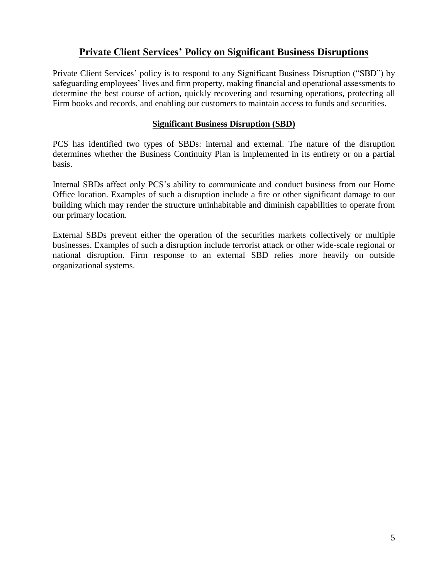### **Private Client Services' Policy on Significant Business Disruptions**

Private Client Services' policy is to respond to any Significant Business Disruption ("SBD") by safeguarding employees' lives and firm property, making financial and operational assessments to determine the best course of action, quickly recovering and resuming operations, protecting all Firm books and records, and enabling our customers to maintain access to funds and securities.

### **Significant Business Disruption (SBD)**

PCS has identified two types of SBDs: internal and external. The nature of the disruption determines whether the Business Continuity Plan is implemented in its entirety or on a partial basis.

Internal SBDs affect only PCS's ability to communicate and conduct business from our Home Office location. Examples of such a disruption include a fire or other significant damage to our building which may render the structure uninhabitable and diminish capabilities to operate from our primary location.

External SBDs prevent either the operation of the securities markets collectively or multiple businesses. Examples of such a disruption include terrorist attack or other wide-scale regional or national disruption. Firm response to an external SBD relies more heavily on outside organizational systems.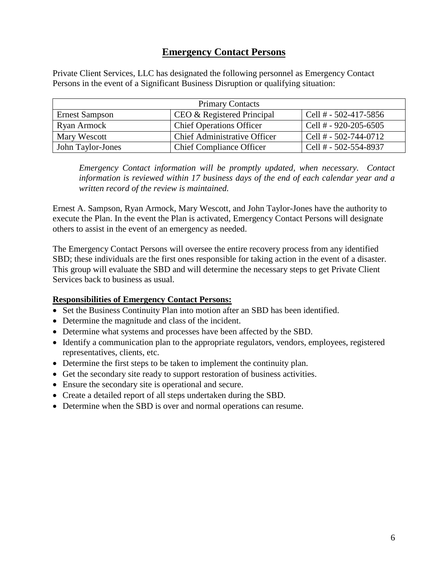### **Emergency Contact Persons**

Private Client Services, LLC has designated the following personnel as Emergency Contact Persons in the event of a Significant Business Disruption or qualifying situation:

| <b>Primary Contacts</b> |                                     |                         |
|-------------------------|-------------------------------------|-------------------------|
| <b>Ernest Sampson</b>   | CEO & Registered Principal          | Cell # $-502-417-5856$  |
| Ryan Armock             | <b>Chief Operations Officer</b>     | Cell # $-$ 920-205-6505 |
| Mary Wescott            | <b>Chief Administrative Officer</b> | Cell # $-502-744-0712$  |
| John Taylor-Jones       | <b>Chief Compliance Officer</b>     | Cell # - 502-554-8937   |

*Emergency Contact information will be promptly updated, when necessary. Contact information is reviewed within 17 business days of the end of each calendar year and a written record of the review is maintained.* 

Ernest A. Sampson, Ryan Armock, Mary Wescott, and John Taylor-Jones have the authority to execute the Plan. In the event the Plan is activated, Emergency Contact Persons will designate others to assist in the event of an emergency as needed.

The Emergency Contact Persons will oversee the entire recovery process from any identified SBD; these individuals are the first ones responsible for taking action in the event of a disaster. This group will evaluate the SBD and will determine the necessary steps to get Private Client Services back to business as usual.

### **Responsibilities of Emergency Contact Persons:**

- Set the Business Continuity Plan into motion after an SBD has been identified.
- Determine the magnitude and class of the incident.
- Determine what systems and processes have been affected by the SBD.
- Identify a communication plan to the appropriate regulators, vendors, employees, registered representatives, clients, etc.
- Determine the first steps to be taken to implement the continuity plan.
- Get the secondary site ready to support restoration of business activities.
- Ensure the secondary site is operational and secure.
- Create a detailed report of all steps undertaken during the SBD.
- Determine when the SBD is over and normal operations can resume.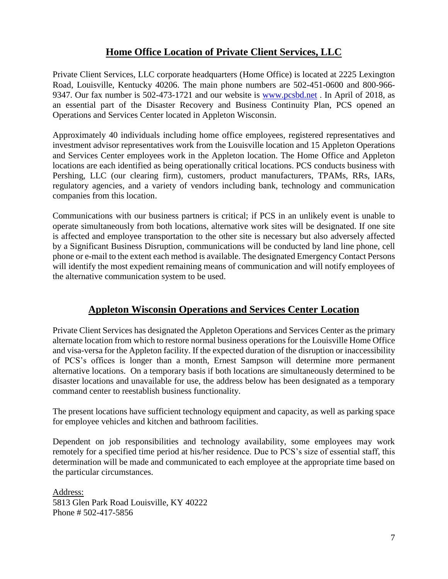### **Home Office Location of Private Client Services, LLC**

Private Client Services, LLC corporate headquarters (Home Office) is located at 2225 Lexington Road, Louisville, Kentucky 40206. The main phone numbers are 502-451-0600 and 800-966- 9347. Our fax number is 502-473-1721 and our website is www.pcsbd.net . In April of 2018, as an essential part of the Disaster Recovery and Business Continuity Plan, PCS opened an Operations and Services Center located in Appleton Wisconsin.

Approximately 40 individuals including home office employees, registered representatives and investment advisor representatives work from the Louisville location and 15 Appleton Operations and Services Center employees work in the Appleton location. The Home Office and Appleton locations are each identified as being operationally critical locations. PCS conducts business with Pershing, LLC (our clearing firm), customers, product manufacturers, TPAMs, RRs, IARs, regulatory agencies, and a variety of vendors including bank, technology and communication companies from this location.

Communications with our business partners is critical; if PCS in an unlikely event is unable to operate simultaneously from both locations, alternative work sites will be designated. If one site is affected and employee transportation to the other site is necessary but also adversely affected by a Significant Business Disruption, communications will be conducted by land line phone, cell phone or e-mail to the extent each method is available. The designated Emergency Contact Persons will identify the most expedient remaining means of communication and will notify employees of the alternative communication system to be used.

## **Appleton Wisconsin Operations and Services Center Location**

Private Client Services has designated the Appleton Operations and Services Center as the primary alternate location from which to restore normal business operations for the Louisville Home Office and visa-versa for the Appleton facility. If the expected duration of the disruption or inaccessibility of PCS's offices is longer than a month, Ernest Sampson will determine more permanent alternative locations. On a temporary basis if both locations are simultaneously determined to be disaster locations and unavailable for use, the address below has been designated as a temporary command center to reestablish business functionality.

The present locations have sufficient technology equipment and capacity, as well as parking space for employee vehicles and kitchen and bathroom facilities.

Dependent on job responsibilities and technology availability, some employees may work remotely for a specified time period at his/her residence. Due to PCS's size of essential staff, this determination will be made and communicated to each employee at the appropriate time based on the particular circumstances.

Address: 5813 Glen Park Road Louisville, KY 40222 Phone # 502-417-5856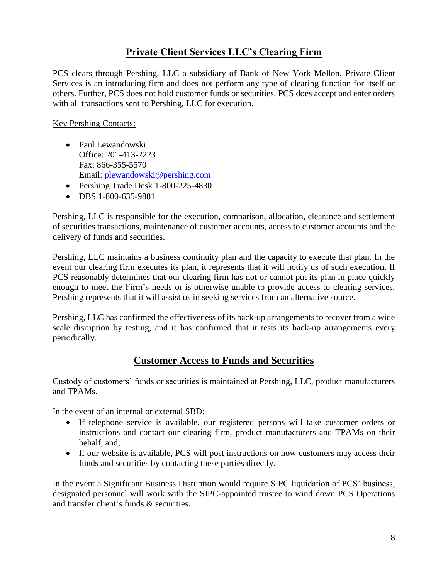### **Private Client Services LLC's Clearing Firm**

PCS clears through Pershing, LLC a subsidiary of Bank of New York Mellon. Private Client Services is an introducing firm and does not perform any type of clearing function for itself or others. Further, PCS does not hold customer funds or securities. PCS does accept and enter orders with all transactions sent to Pershing, LLC for execution.

Key Pershing Contacts:

- Paul Lewandowski Office: 201-413-2223 Fax: 866-355-5570 Email: plewandowski@pershing.com
- Pershing Trade Desk 1-800-225-4830
- DBS 1-800-635-9881

Pershing, LLC is responsible for the execution, comparison, allocation, clearance and settlement of securities transactions, maintenance of customer accounts, access to customer accounts and the delivery of funds and securities.

Pershing, LLC maintains a business continuity plan and the capacity to execute that plan. In the event our clearing firm executes its plan, it represents that it will notify us of such execution. If PCS reasonably determines that our clearing firm has not or cannot put its plan in place quickly enough to meet the Firm's needs or is otherwise unable to provide access to clearing services, Pershing represents that it will assist us in seeking services from an alternative source.

Pershing, LLC has confirmed the effectiveness of its back-up arrangements to recover from a wide scale disruption by testing, and it has confirmed that it tests its back-up arrangements every periodically.

### **Customer Access to Funds and Securities**

Custody of customers' funds or securities is maintained at Pershing, LLC, product manufacturers and TPAMs.

In the event of an internal or external SBD:

- If telephone service is available, our registered persons will take customer orders or instructions and contact our clearing firm, product manufacturers and TPAMs on their behalf, and;
- If our website is available, PCS will post instructions on how customers may access their funds and securities by contacting these parties directly.

In the event a Significant Business Disruption would require SIPC liquidation of PCS' business, designated personnel will work with the SIPC-appointed trustee to wind down PCS Operations and transfer client's funds & securities.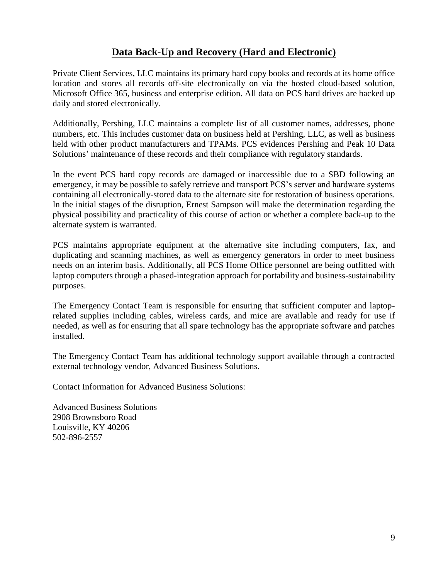### **Data Back-Up and Recovery (Hard and Electronic)**

Private Client Services, LLC maintains its primary hard copy books and records at its home office location and stores all records off-site electronically on via the hosted cloud-based solution, Microsoft Office 365, business and enterprise edition. All data on PCS hard drives are backed up daily and stored electronically.

Additionally, Pershing, LLC maintains a complete list of all customer names, addresses, phone numbers, etc. This includes customer data on business held at Pershing, LLC, as well as business held with other product manufacturers and TPAMs. PCS evidences Pershing and Peak 10 Data Solutions' maintenance of these records and their compliance with regulatory standards.

In the event PCS hard copy records are damaged or inaccessible due to a SBD following an emergency, it may be possible to safely retrieve and transport PCS's server and hardware systems containing all electronically-stored data to the alternate site for restoration of business operations. In the initial stages of the disruption, Ernest Sampson will make the determination regarding the physical possibility and practicality of this course of action or whether a complete back-up to the alternate system is warranted.

PCS maintains appropriate equipment at the alternative site including computers, fax, and duplicating and scanning machines, as well as emergency generators in order to meet business needs on an interim basis. Additionally, all PCS Home Office personnel are being outfitted with laptop computers through a phased-integration approach for portability and business-sustainability purposes.

The Emergency Contact Team is responsible for ensuring that sufficient computer and laptoprelated supplies including cables, wireless cards, and mice are available and ready for use if needed, as well as for ensuring that all spare technology has the appropriate software and patches installed.

The Emergency Contact Team has additional technology support available through a contracted external technology vendor, Advanced Business Solutions.

Contact Information for Advanced Business Solutions:

Advanced Business Solutions 2908 Brownsboro Road Louisville, KY 40206 502-896-2557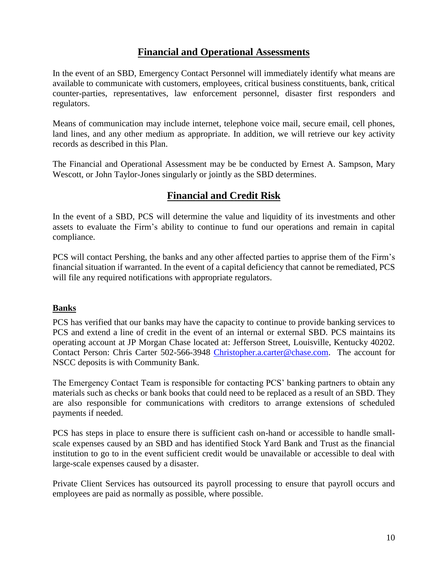### **Financial and Operational Assessments**

In the event of an SBD, Emergency Contact Personnel will immediately identify what means are available to communicate with customers, employees, critical business constituents, bank, critical counter-parties, representatives, law enforcement personnel, disaster first responders and regulators.

Means of communication may include internet, telephone voice mail, secure email, cell phones, land lines, and any other medium as appropriate. In addition, we will retrieve our key activity records as described in this Plan.

The Financial and Operational Assessment may be be conducted by Ernest A. Sampson, Mary Wescott, or John Taylor-Jones singularly or jointly as the SBD determines.

### **Financial and Credit Risk**

In the event of a SBD, PCS will determine the value and liquidity of its investments and other assets to evaluate the Firm's ability to continue to fund our operations and remain in capital compliance.

PCS will contact Pershing, the banks and any other affected parties to apprise them of the Firm's financial situation if warranted. In the event of a capital deficiency that cannot be remediated, PCS will file any required notifications with appropriate regulators.

### **Banks**

PCS has verified that our banks may have the capacity to continue to provide banking services to PCS and extend a line of credit in the event of an internal or external SBD. PCS maintains its operating account at JP Morgan Chase located at: Jefferson Street, Louisville, Kentucky 40202. Contact Person: Chris Carter 502-566-3948 Christopher.a.carter@chase.com. The account for NSCC deposits is with Community Bank.

The Emergency Contact Team is responsible for contacting PCS' banking partners to obtain any materials such as checks or bank books that could need to be replaced as a result of an SBD. They are also responsible for communications with creditors to arrange extensions of scheduled payments if needed.

PCS has steps in place to ensure there is sufficient cash on-hand or accessible to handle smallscale expenses caused by an SBD and has identified Stock Yard Bank and Trust as the financial institution to go to in the event sufficient credit would be unavailable or accessible to deal with large-scale expenses caused by a disaster.

Private Client Services has outsourced its payroll processing to ensure that payroll occurs and employees are paid as normally as possible, where possible.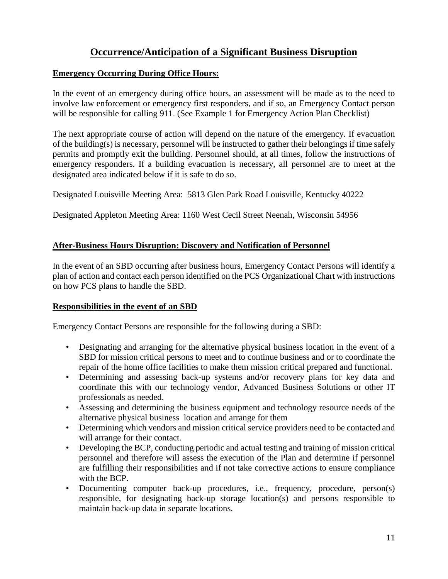### **Occurrence/Anticipation of a Significant Business Disruption**

#### **Emergency Occurring During Office Hours:**

In the event of an emergency during office hours, an assessment will be made as to the need to involve law enforcement or emergency first responders, and if so, an Emergency Contact person will be responsible for calling 911. (See Example 1 for Emergency Action Plan Checklist)

The next appropriate course of action will depend on the nature of the emergency. If evacuation of the building(s) is necessary, personnel will be instructed to gather their belongings if time safely permits and promptly exit the building. Personnel should, at all times, follow the instructions of emergency responders. If a building evacuation is necessary, all personnel are to meet at the designated area indicated below if it is safe to do so.

Designated Louisville Meeting Area: 5813 Glen Park Road Louisville, Kentucky 40222

Designated Appleton Meeting Area: 1160 West Cecil Street Neenah, Wisconsin 54956

### **After-Business Hours Disruption: Discovery and Notification of Personnel**

In the event of an SBD occurring after business hours, Emergency Contact Persons will identify a plan of action and contact each person identified on the PCS Organizational Chart with instructions on how PCS plans to handle the SBD.

### **Responsibilities in the event of an SBD**

Emergency Contact Persons are responsible for the following during a SBD:

- Designating and arranging for the alternative physical business location in the event of a SBD for mission critical persons to meet and to continue business and or to coordinate the repair of the home office facilities to make them mission critical prepared and functional.
- Determining and assessing back-up systems and/or recovery plans for key data and coordinate this with our technology vendor, Advanced Business Solutions or other IT professionals as needed.
- Assessing and determining the business equipment and technology resource needs of the alternative physical business location and arrange for them
- Determining which vendors and mission critical service providers need to be contacted and will arrange for their contact.
- Developing the BCP, conducting periodic and actual testing and training of mission critical personnel and therefore will assess the execution of the Plan and determine if personnel are fulfilling their responsibilities and if not take corrective actions to ensure compliance with the BCP.
- Documenting computer back-up procedures, i.e., frequency, procedure, person(s) responsible, for designating back-up storage location(s) and persons responsible to maintain back-up data in separate locations.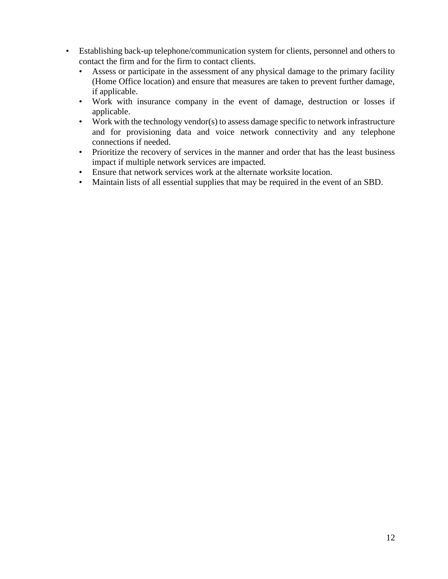- Establishing back-up telephone/communication system for clients, personnel and others to contact the firm and for the firm to contact clients.
	- Assess or participate in the assessment of any physical damage to the primary facility (Home Office location) and ensure that measures are taken to prevent further damage, if applicable.
	- Work with insurance company in the event of damage, destruction or losses if applicable.
	- Work with the technology vendor(s) to assess damage specific to network infrastructure and for provisioning data and voice network connectivity and any telephone connections if needed.
	- Prioritize the recovery of services in the manner and order that has the least business impact if multiple network services are impacted.
	- Ensure that network services work at the alternate worksite location.
	- Maintain lists of all essential supplies that may be required in the event of an SBD.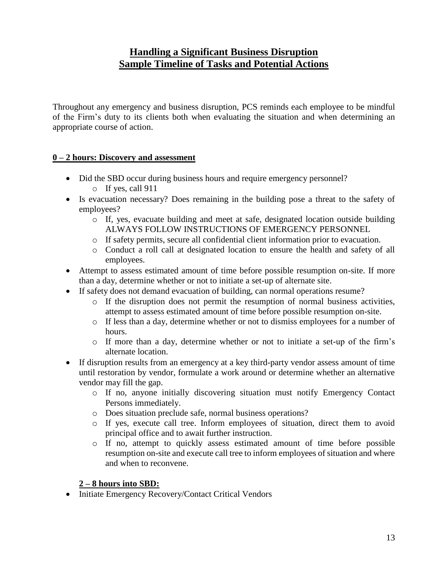### **Handling a Significant Business Disruption Sample Timeline of Tasks and Potential Actions**

Throughout any emergency and business disruption, PCS reminds each employee to be mindful of the Firm's duty to its clients both when evaluating the situation and when determining an appropriate course of action.

### **0 – 2 hours: Discovery and assessment**

- Did the SBD occur during business hours and require emergency personnel?
	- o If yes, call 911
- Is evacuation necessary? Does remaining in the building pose a threat to the safety of employees?
	- $\circ$  If, yes, evacuate building and meet at safe, designated location outside building ALWAYS FOLLOW INSTRUCTIONS OF EMERGENCY PERSONNEL
	- o If safety permits, secure all confidential client information prior to evacuation.
	- o Conduct a roll call at designated location to ensure the health and safety of all employees.
- Attempt to assess estimated amount of time before possible resumption on-site. If more than a day, determine whether or not to initiate a set-up of alternate site.
- If safety does not demand evacuation of building, can normal operations resume?
	- o If the disruption does not permit the resumption of normal business activities, attempt to assess estimated amount of time before possible resumption on-site.
	- o If less than a day, determine whether or not to dismiss employees for a number of hours.
	- o If more than a day, determine whether or not to initiate a set-up of the firm's alternate location.
- If disruption results from an emergency at a key third-party vendor assess amount of time until restoration by vendor, formulate a work around or determine whether an alternative vendor may fill the gap.
	- o If no, anyone initially discovering situation must notify Emergency Contact Persons immediately.
	- o Does situation preclude safe, normal business operations?
	- o If yes, execute call tree. Inform employees of situation, direct them to avoid principal office and to await further instruction.
	- o If no, attempt to quickly assess estimated amount of time before possible resumption on-site and execute call tree to inform employees of situation and where and when to reconvene.

### **2 – 8 hours into SBD:**

• Initiate Emergency Recovery/Contact Critical Vendors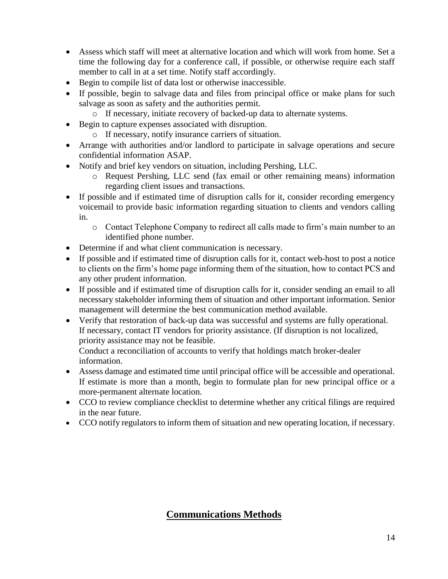- Assess which staff will meet at alternative location and which will work from home. Set a time the following day for a conference call, if possible, or otherwise require each staff member to call in at a set time. Notify staff accordingly.
- Begin to compile list of data lost or otherwise inaccessible.
- If possible, begin to salvage data and files from principal office or make plans for such salvage as soon as safety and the authorities permit.
	- o If necessary, initiate recovery of backed-up data to alternate systems.
- Begin to capture expenses associated with disruption.
	- o If necessary, notify insurance carriers of situation.
- Arrange with authorities and/or landlord to participate in salvage operations and secure confidential information ASAP.
- Notify and brief key vendors on situation, including Pershing, LLC.
	- o Request Pershing, LLC send (fax email or other remaining means) information regarding client issues and transactions.
- If possible and if estimated time of disruption calls for it, consider recording emergency voicemail to provide basic information regarding situation to clients and vendors calling in.
	- o Contact Telephone Company to redirect all calls made to firm's main number to an identified phone number.
- Determine if and what client communication is necessary.
- If possible and if estimated time of disruption calls for it, contact web-host to post a notice to clients on the firm's home page informing them of the situation, how to contact PCS and any other prudent information.
- If possible and if estimated time of disruption calls for it, consider sending an email to all necessary stakeholder informing them of situation and other important information. Senior management will determine the best communication method available.
- Verify that restoration of back-up data was successful and systems are fully operational. If necessary, contact IT vendors for priority assistance. (If disruption is not localized, priority assistance may not be feasible.

Conduct a reconciliation of accounts to verify that holdings match broker-dealer information.

- Assess damage and estimated time until principal office will be accessible and operational. If estimate is more than a month, begin to formulate plan for new principal office or a more-permanent alternate location.
- CCO to review compliance checklist to determine whether any critical filings are required in the near future.
- CCO notify regulators to inform them of situation and new operating location, if necessary.

### **Communications Methods**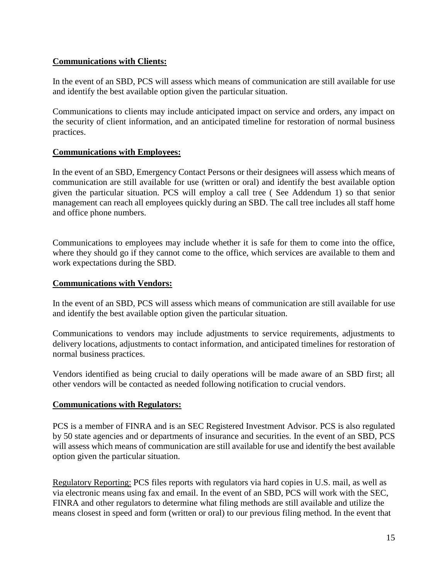### **Communications with Clients:**

In the event of an SBD, PCS will assess which means of communication are still available for use and identify the best available option given the particular situation.

Communications to clients may include anticipated impact on service and orders, any impact on the security of client information, and an anticipated timeline for restoration of normal business practices.

#### **Communications with Employees:**

In the event of an SBD, Emergency Contact Persons or their designees will assess which means of communication are still available for use (written or oral) and identify the best available option given the particular situation. PCS will employ a call tree ( See Addendum 1) so that senior management can reach all employees quickly during an SBD. The call tree includes all staff home and office phone numbers.

Communications to employees may include whether it is safe for them to come into the office, where they should go if they cannot come to the office, which services are available to them and work expectations during the SBD.

#### **Communications with Vendors:**

In the event of an SBD, PCS will assess which means of communication are still available for use and identify the best available option given the particular situation.

Communications to vendors may include adjustments to service requirements, adjustments to delivery locations, adjustments to contact information, and anticipated timelines for restoration of normal business practices.

Vendors identified as being crucial to daily operations will be made aware of an SBD first; all other vendors will be contacted as needed following notification to crucial vendors.

#### **Communications with Regulators:**

PCS is a member of FINRA and is an SEC Registered Investment Advisor. PCS is also regulated by 50 state agencies and or departments of insurance and securities. In the event of an SBD, PCS will assess which means of communication are still available for use and identify the best available option given the particular situation.

Regulatory Reporting: PCS files reports with regulators via hard copies in U.S. mail, as well as via electronic means using fax and email. In the event of an SBD, PCS will work with the SEC, FINRA and other regulators to determine what filing methods are still available and utilize the means closest in speed and form (written or oral) to our previous filing method. In the event that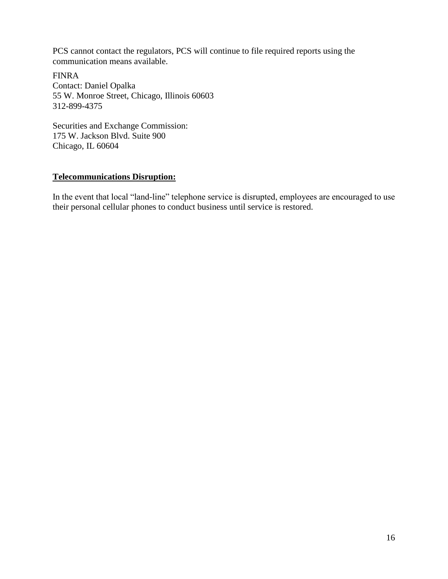PCS cannot contact the regulators, PCS will continue to file required reports using the communication means available.

FINRA Contact: Daniel Opalka 55 W. Monroe Street, Chicago, Illinois 60603 312-899-4375

Securities and Exchange Commission: 175 W. Jackson Blvd. Suite 900 Chicago, IL 60604

### **Telecommunications Disruption:**

In the event that local "land-line" telephone service is disrupted, employees are encouraged to use their personal cellular phones to conduct business until service is restored.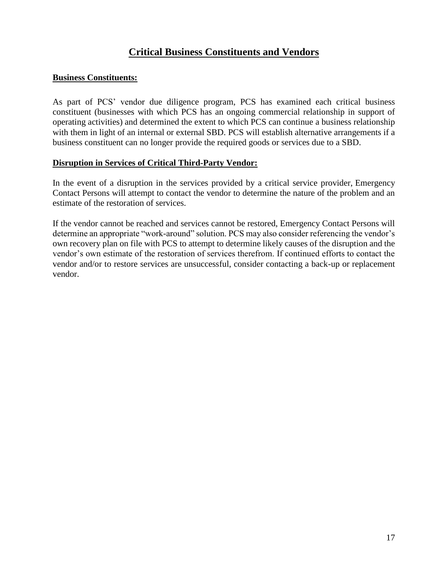### **Critical Business Constituents and Vendors**

#### **Business Constituents:**

As part of PCS' vendor due diligence program, PCS has examined each critical business constituent (businesses with which PCS has an ongoing commercial relationship in support of operating activities) and determined the extent to which PCS can continue a business relationship with them in light of an internal or external SBD. PCS will establish alternative arrangements if a business constituent can no longer provide the required goods or services due to a SBD.

#### **Disruption in Services of Critical Third-Party Vendor:**

In the event of a disruption in the services provided by a critical service provider, Emergency Contact Persons will attempt to contact the vendor to determine the nature of the problem and an estimate of the restoration of services.

If the vendor cannot be reached and services cannot be restored, Emergency Contact Persons will determine an appropriate "work-around" solution. PCS may also consider referencing the vendor's own recovery plan on file with PCS to attempt to determine likely causes of the disruption and the vendor's own estimate of the restoration of services therefrom. If continued efforts to contact the vendor and/or to restore services are unsuccessful, consider contacting a back-up or replacement vendor.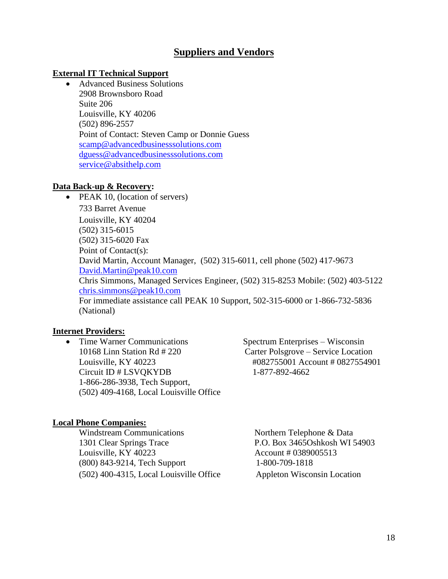### **Suppliers and Vendors**

#### **External IT Technical Support**

 Advanced Business Solutions 2908 Brownsboro Road Suite 206 Louisville, KY 40206 (502) 896-2557 Point of Contact: Steven Camp or Donnie Guess scamp@advancedbusinesssolutions.com dguess@advancedbusinesssolutions.com service@absithelp.com

#### **Data Back-up & Recovery:**

• PEAK 10, (location of servers) 733 Barret Avenue Louisville, KY 40204 (502) 315-6015 (502) 315-6020 Fax Point of Contact(s): David Martin, Account Manager, (502) 315-6011, cell phone (502) 417-9673 David.Martin@peak10.com Chris Simmons, Managed Services Engineer, (502) 315-8253 Mobile: (502) 403-5122 chris.simmons@peak10.com For immediate assistance call PEAK 10 Support, 502-315-6000 or 1-866-732-5836 (National)

#### **Internet Providers:**

• Time Warner Communications Spectrum Enterprises – Wisconsin 10168 Linn Station Rd # 220 Carter Polsgrove – Service Location Louisville, KY 40223 #082755001 Account # 0827554901 Circuit ID # LSVQKYDB 1-877-892-4662 1-866-286-3938, Tech Support, (502) 409-4168, Local Louisville Office

#### **Local Phone Companies:**

| <b>Windstream Communications</b>          | Northern Telephone & Data     |
|-------------------------------------------|-------------------------------|
| 1301 Clear Springs Trace                  | P.O. Box 3465Oshkosh WI 54903 |
| Louisville, KY 40223                      | Account # 0389005513          |
| (800) 843-9214, Tech Support              | 1-800-709-1818                |
| $(502)$ 400-4315, Local Louisville Office | Appleton Wisconsin Location   |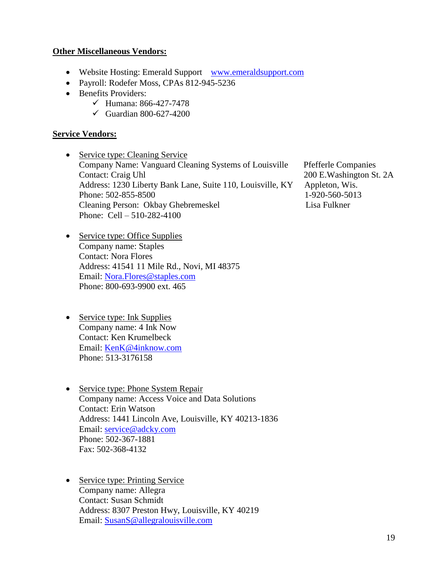#### **Other Miscellaneous Vendors:**

- Website Hosting: Emerald Support www.emeraldsupport.com
- Payroll: Rodefer Moss, CPAs 812-945-5236
- Benefits Providers:
	- $\checkmark$  Humana: 866-427-7478
	- $\checkmark$  Guardian 800-627-4200

#### **Service Vendors:**

- Service type: Cleaning Service Company Name: Vanguard Cleaning Systems of Louisville Pfefferle Companies Contact: Craig Uhl 200 E.Washington St. 2A Address: 1230 Liberty Bank Lane, Suite 110, Louisville, KY Appleton, Wis. Phone: 502-855-8500 1-920-560-5013 Cleaning Person: Okbay Ghebremeskel Lisa Fulkner Phone: Cell – 510-282-4100
- Service type: Office Supplies Company name: Staples Contact: Nora Flores Address: 41541 11 Mile Rd., Novi, MI 48375 Email: Nora.Flores@staples.com Phone: 800-693-9900 ext. 465
- Service type: Ink Supplies Company name: 4 Ink Now Contact: Ken Krumelbeck Email: KenK@4inknow.com Phone: 513-3176158
- Service type: Phone System Repair Company name: Access Voice and Data Solutions Contact: Erin Watson Address: 1441 Lincoln Ave, Louisville, KY 40213-1836 Email: service@adcky.com Phone: 502-367-1881 Fax: 502-368-4132
- Service type: Printing Service Company name: Allegra Contact: Susan Schmidt Address: 8307 Preston Hwy, Louisville, KY 40219 Email: SusanS@allegralouisville.com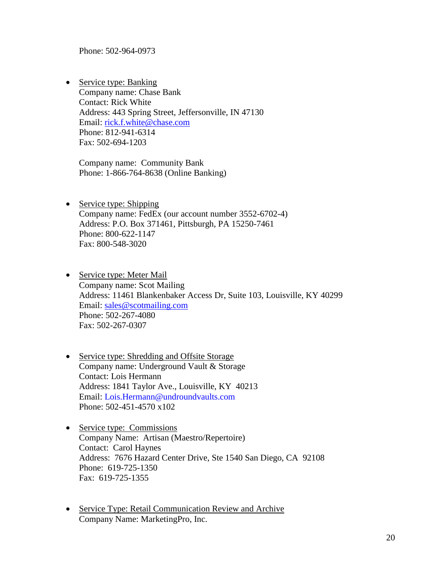Phone: 502-964-0973

• Service type: Banking Company name: Chase Bank Contact: Rick White Address: 443 Spring Street, Jeffersonville, IN 47130 Email: rick.f.white@chase.com Phone: 812-941-6314 Fax: 502-694-1203

Company name: Community Bank Phone: 1-866-764-8638 (Online Banking)

- Service type: Shipping Company name: FedEx (our account number 3552-6702-4) Address: P.O. Box 371461, Pittsburgh, PA 15250-7461 Phone: 800-622-1147 Fax: 800-548-3020
- Service type: Meter Mail Company name: Scot Mailing Address: 11461 Blankenbaker Access Dr, Suite 103, Louisville, KY 40299 Email: sales@scotmailing.com Phone: 502-267-4080 Fax: 502-267-0307
- Service type: Shredding and Offsite Storage Company name: Underground Vault & Storage Contact: Lois Hermann Address: 1841 Taylor Ave., Louisville, KY 40213 Email: Lois.Hermann@undroundvaults.com Phone: 502-451-4570 x102
- Service type: Commissions Company Name: Artisan (Maestro/Repertoire) Contact: Carol Haynes Address: 7676 Hazard Center Drive, Ste 1540 San Diego, CA 92108 Phone: 619-725-1350 Fax: 619-725-1355
- Service Type: Retail Communication Review and Archive Company Name: MarketingPro, Inc.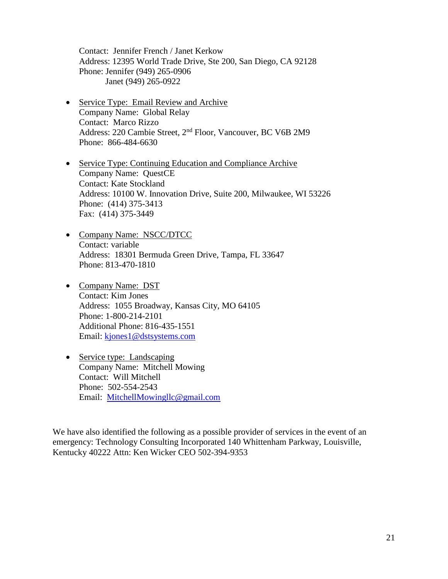Contact: Jennifer French / Janet Kerkow Address: 12395 World Trade Drive, Ste 200, San Diego, CA 92128 Phone: Jennifer (949) 265-0906 Janet (949) 265-0922

- Service Type: Email Review and Archive Company Name: Global Relay Contact: Marco Rizzo Address: 220 Cambie Street, 2nd Floor, Vancouver, BC V6B 2M9 Phone: 866-484-6630
- Service Type: Continuing Education and Compliance Archive Company Name: QuestCE Contact: Kate Stockland Address: 10100 W. Innovation Drive, Suite 200, Milwaukee, WI 53226 Phone: (414) 375-3413 Fax: (414) 375-3449
- Company Name: NSCC/DTCC Contact: variable Address: 18301 Bermuda Green Drive, Tampa, FL 33647 Phone: 813-470-1810
- Company Name: DST Contact: Kim Jones Address: 1055 Broadway, Kansas City, MO 64105 Phone: 1-800-214-2101 Additional Phone: 816-435-1551 Email: kjones1@dstsystems.com
- Service type: Landscaping Company Name: Mitchell Mowing Contact: Will Mitchell Phone: 502-554-2543 Email: MitchellMowingllc@gmail.com

We have also identified the following as a possible provider of services in the event of an emergency: Technology Consulting Incorporated 140 Whittenham Parkway, Louisville, Kentucky 40222 Attn: Ken Wicker CEO 502-394-9353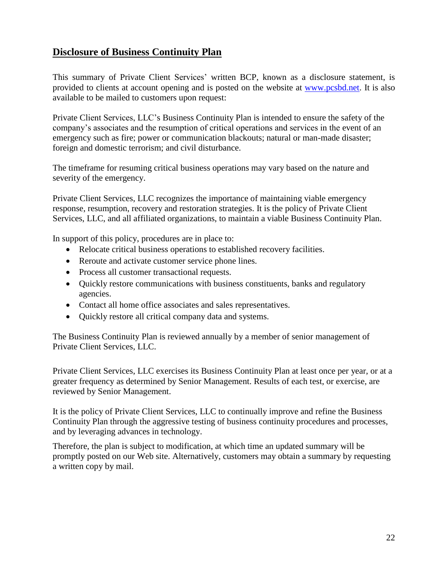### **Disclosure of Business Continuity Plan**

This summary of Private Client Services' written BCP, known as a disclosure statement, is provided to clients at account opening and is posted on the website at www.pcsbd.net. It is also available to be mailed to customers upon request:

Private Client Services, LLC's Business Continuity Plan is intended to ensure the safety of the company's associates and the resumption of critical operations and services in the event of an emergency such as fire; power or communication blackouts; natural or man-made disaster; foreign and domestic terrorism; and civil disturbance.

The timeframe for resuming critical business operations may vary based on the nature and severity of the emergency.

Private Client Services, LLC recognizes the importance of maintaining viable emergency response, resumption, recovery and restoration strategies. It is the policy of Private Client Services, LLC, and all affiliated organizations, to maintain a viable Business Continuity Plan.

In support of this policy, procedures are in place to:

- Relocate critical business operations to established recovery facilities.
- Reroute and activate customer service phone lines.
- Process all customer transactional requests.
- Ouickly restore communications with business constituents, banks and regulatory agencies.
- Contact all home office associates and sales representatives.
- Ouickly restore all critical company data and systems.

The Business Continuity Plan is reviewed annually by a member of senior management of Private Client Services, LLC.

Private Client Services, LLC exercises its Business Continuity Plan at least once per year, or at a greater frequency as determined by Senior Management. Results of each test, or exercise, are reviewed by Senior Management.

It is the policy of Private Client Services, LLC to continually improve and refine the Business Continuity Plan through the aggressive testing of business continuity procedures and processes, and by leveraging advances in technology.

Therefore, the plan is subject to modification, at which time an updated summary will be promptly posted on our Web site. Alternatively, customers may obtain a summary by requesting a written copy by mail.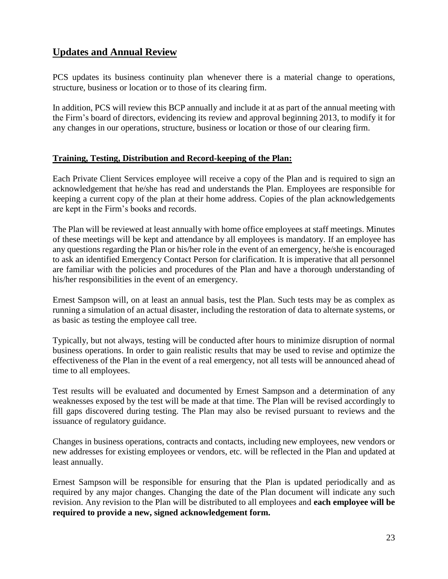### **Updates and Annual Review**

PCS updates its business continuity plan whenever there is a material change to operations, structure, business or location or to those of its clearing firm.

In addition, PCS will review this BCP annually and include it at as part of the annual meeting with the Firm's board of directors, evidencing its review and approval beginning 2013, to modify it for any changes in our operations, structure, business or location or those of our clearing firm.

### **Training, Testing, Distribution and Record-keeping of the Plan:**

Each Private Client Services employee will receive a copy of the Plan and is required to sign an acknowledgement that he/she has read and understands the Plan. Employees are responsible for keeping a current copy of the plan at their home address. Copies of the plan acknowledgements are kept in the Firm's books and records.

The Plan will be reviewed at least annually with home office employees at staff meetings. Minutes of these meetings will be kept and attendance by all employees is mandatory. If an employee has any questions regarding the Plan or his/her role in the event of an emergency, he/she is encouraged to ask an identified Emergency Contact Person for clarification. It is imperative that all personnel are familiar with the policies and procedures of the Plan and have a thorough understanding of his/her responsibilities in the event of an emergency.

Ernest Sampson will, on at least an annual basis, test the Plan. Such tests may be as complex as running a simulation of an actual disaster, including the restoration of data to alternate systems, or as basic as testing the employee call tree.

Typically, but not always, testing will be conducted after hours to minimize disruption of normal business operations. In order to gain realistic results that may be used to revise and optimize the effectiveness of the Plan in the event of a real emergency, not all tests will be announced ahead of time to all employees.

Test results will be evaluated and documented by Ernest Sampson and a determination of any weaknesses exposed by the test will be made at that time. The Plan will be revised accordingly to fill gaps discovered during testing. The Plan may also be revised pursuant to reviews and the issuance of regulatory guidance.

Changes in business operations, contracts and contacts, including new employees, new vendors or new addresses for existing employees or vendors, etc. will be reflected in the Plan and updated at least annually.

Ernest Sampson will be responsible for ensuring that the Plan is updated periodically and as required by any major changes. Changing the date of the Plan document will indicate any such revision. Any revision to the Plan will be distributed to all employees and **each employee will be required to provide a new, signed acknowledgement form.**